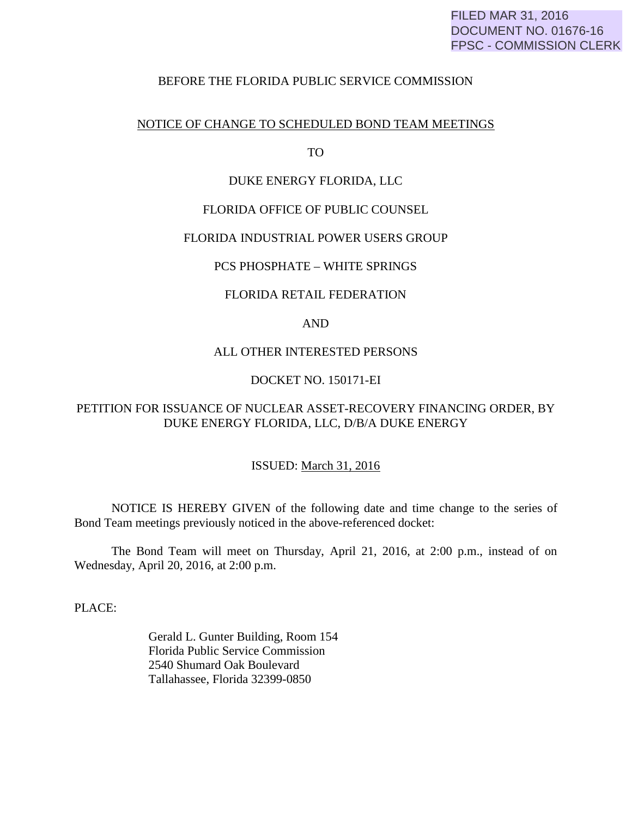# FILED MAR 31, 2016 DOCUMENT NO. 01676-16 FPSC - COMMISSION CLERK

## BEFORE THE FLORIDA PUBLIC SERVICE COMMISSION

#### NOTICE OF CHANGE TO SCHEDULED BOND TEAM MEETINGS

TO

## DUKE ENERGY FLORIDA, LLC

## FLORIDA OFFICE OF PUBLIC COUNSEL

#### FLORIDA INDUSTRIAL POWER USERS GROUP

#### PCS PHOSPHATE – WHITE SPRINGS

#### FLORIDA RETAIL FEDERATION

# AND

## ALL OTHER INTERESTED PERSONS

## DOCKET NO. 150171-EI

# PETITION FOR ISSUANCE OF NUCLEAR ASSET-RECOVERY FINANCING ORDER, BY DUKE ENERGY FLORIDA, LLC, D/B/A DUKE ENERGY

## ISSUED: March 31, 2016

 NOTICE IS HEREBY GIVEN of the following date and time change to the series of Bond Team meetings previously noticed in the above-referenced docket:

 The Bond Team will meet on Thursday, April 21, 2016, at 2:00 p.m., instead of on Wednesday, April 20, 2016, at 2:00 p.m.

PLACE:

 Gerald L. Gunter Building, Room 154 Florida Public Service Commission 2540 Shumard Oak Boulevard Tallahassee, Florida 32399-0850